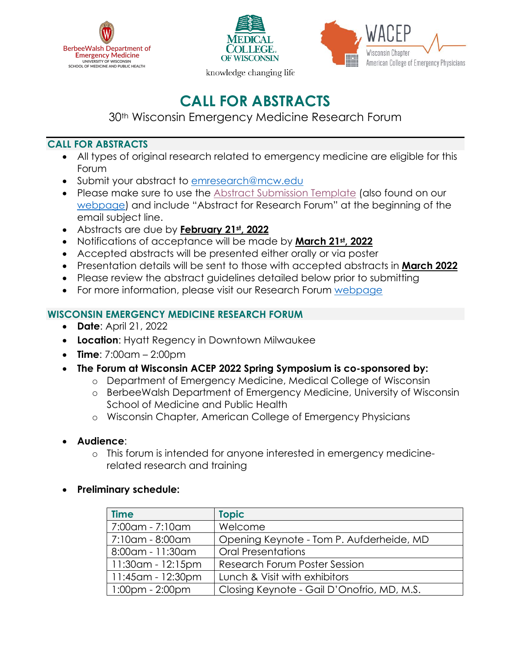





knowledge changing life

# **CALL FOR ABSTRACTS**

30th Wisconsin Emergency Medicine Research Forum

## **CALL FOR ABSTRACTS**

- All types of original research related to emergency medicine are eligible for this Forum
- Submit your abstract to [emresearch@mcw.edu](mailto:emresearch@mcw.edu)
- Please make sure to use the [Abstract Submission Template](https://www.mcw.edu/-/media/MCW/Departments/Emergency-Medicine/Research/Research-Forum-Abstract-Submission-Template.docx?la=en) (also found on our [webpage\)](https://www.mcw.edu/departments/emergency-medicine/research/annual-research-forum) and include "Abstract for Research Forum" at the beginning of the email subject line.
- Abstracts are due by **February 21st, 2022**
- Notifications of acceptance will be made by **March 21st, 2022**
- Accepted abstracts will be presented either orally or via poster
- Presentation details will be sent to those with accepted abstracts in **March 2022**
- Please review the abstract guidelines detailed below prior to submitting
- For more information, please visit our Research Forum [webpage](https://www.mcw.edu/departments/emergency-medicine/research/annual-research-forum)

## **WISCONSIN EMERGENCY MEDICINE RESEARCH FORUM**

- **Date**: April 21, 2022
- **Location**: Hyatt Regency in Downtown Milwaukee
- **Time**: 7:00am 2:00pm
- **The Forum at Wisconsin ACEP 2022 Spring Symposium is co-sponsored by:**
	- o Department of Emergency Medicine, Medical College of Wisconsin
	- o BerbeeWalsh Department of Emergency Medicine, University of Wisconsin School of Medicine and Public Health
	- o Wisconsin Chapter, American College of Emergency Physicians
- **Audience**:
	- o This forum is intended for anyone interested in emergency medicinerelated research and training
- **Preliminary schedule:**

| <b>Time</b>           | <b>Topic</b>                               |
|-----------------------|--------------------------------------------|
| 7:00am - 7:10am       | Welcome                                    |
| 7:10am - 8:00am       | Opening Keynote - Tom P. Aufderheide, MD   |
| 8:00am - 11:30am      | <b>Oral Presentations</b>                  |
| 11:30am - 12:15pm     | <b>Research Forum Poster Session</b>       |
| 11:45am - 12:30pm     | Lunch & Visit with exhibitors              |
| $1:00$ pm - $2:00$ pm | Closing Keynote - Gail D'Onofrio, MD, M.S. |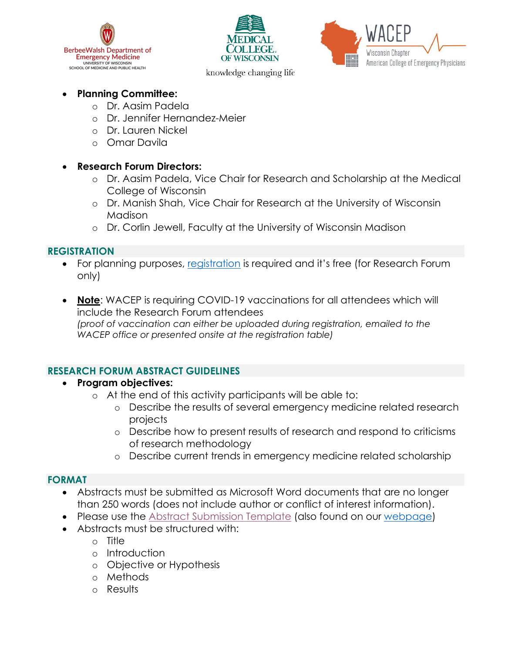





knowledge changing life

## • **Planning Committee:**

- o Dr. Aasim Padela
- o Dr. Jennifer Hernandez-Meier
- o Dr. Lauren Nickel
- o Omar Davila

### • **Research Forum Directors:**

- o Dr. Aasim Padela, Vice Chair for Research and Scholarship at the Medical College of Wisconsin
- o Dr. Manish Shah, Vice Chair for Research at the University of Wisconsin Madison
- o Dr. Corlin Jewell, Faculty at the University of Wisconsin Madison

## **REGISTRATION**

- For planning purposes, [registration](https://www.wisconsinacep.org/event-4368434) is required and it's free (for Research Forum only)
- **Note**: WACEP is requiring COVID-19 vaccinations for all attendees which will include the Research Forum attendees *(proof of vaccination can either be uploaded during registration, emailed to the WACEP office or presented onsite at the registration table)*

### **RESEARCH FORUM ABSTRACT GUIDELINES**

- **Program objectives:**
	- o At the end of this activity participants will be able to:
		- o Describe the results of several emergency medicine related research projects
		- o Describe how to present results of research and respond to criticisms of research methodology
		- o Describe current trends in emergency medicine related scholarship

### **FORMAT**

- Abstracts must be submitted as Microsoft Word documents that are no longer than 250 words (does not include author or conflict of interest information).
- Please use the [Abstract Submission Template](https://www.mcw.edu/-/media/MCW/Departments/Emergency-Medicine/Research/Research-Forum-Abstract-Submission-Template.docx?la=en) (also found on our [webpage\)](https://www.mcw.edu/departments/emergency-medicine/research/annual-research-forum)
- Abstracts must be structured with:
	- o Title
		- o Introduction
		- o Objective or Hypothesis
		- o Methods
		- o Results